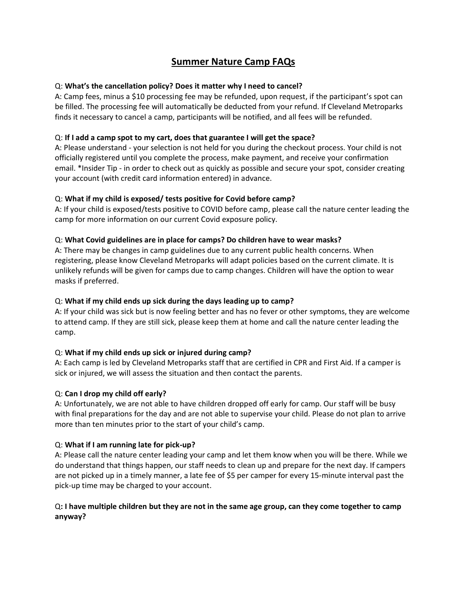# **Summer Nature Camp FAQs**

# Q: **What's the cancellation policy? Does it matter why I need to cancel?**

A: Camp fees, minus a \$10 processing fee may be refunded, upon request, if the participant's spot can be filled. The processing fee will automatically be deducted from your refund. If Cleveland Metroparks finds it necessary to cancel a camp, participants will be notified, and all fees will be refunded.

# Q: **If I add a camp spot to my cart, does that guarantee I will get the space?**

A: Please understand - your selection is not held for you during the checkout process. Your child is not officially registered until you complete the process, make payment, and receive your confirmation email. \*Insider Tip - in order to check out as quickly as possible and secure your spot, consider creating your account (with credit card information entered) in advance.

# Q: **What if my child is exposed/ tests positive for Covid before camp?**

A: If your child is exposed/tests positive to COVID before camp, please call the nature center leading the camp for more information on our current Covid exposure policy.

# Q: **What Covid guidelines are in place for camps? Do children have to wear masks?**

A: There may be changes in camp guidelines due to any current public health concerns. When registering, please know Cleveland Metroparks will adapt policies based on the current climate. It is unlikely refunds will be given for camps due to camp changes. Children will have the option to wear masks if preferred.

#### Q: **What if my child ends up sick during the days leading up to camp?**

A: If your child was sick but is now feeling better and has no fever or other symptoms, they are welcome to attend camp. If they are still sick, please keep them at home and call the nature center leading the camp.

# Q: **What if my child ends up sick or injured during camp?**

A: Each camp is led by Cleveland Metroparks staff that are certified in CPR and First Aid. If a camper is sick or injured, we will assess the situation and then contact the parents.

#### Q: **Can I drop my child off early?**

A: Unfortunately, we are not able to have children dropped off early for camp. Our staff will be busy with final preparations for the day and are not able to supervise your child. Please do not plan to arrive more than ten minutes prior to the start of your child's camp.

#### Q: **What if I am running late for pick-up?**

A: Please call the nature center leading your camp and let them know when you will be there. While we do understand that things happen, our staff needs to clean up and prepare for the next day. If campers are not picked up in a timely manner, a late fee of \$5 per camper for every 15-minute interval past the pick-up time may be charged to your account.

# Q**: I have multiple children but they are not in the same age group, can they come together to camp anyway?**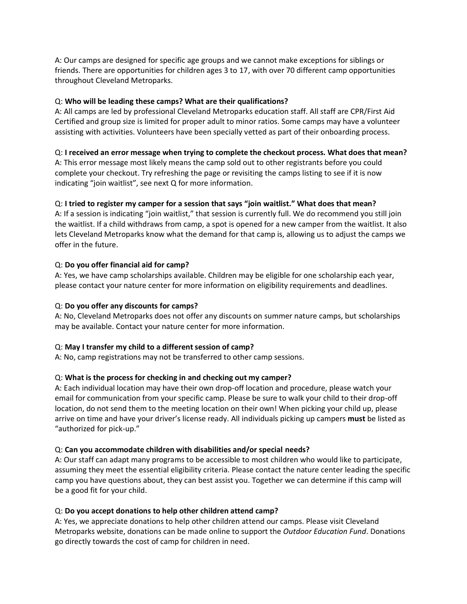A: Our camps are designed for specific age groups and we cannot make exceptions for siblings or friends. There are opportunities for children ages 3 to 17, with over 70 different camp opportunities throughout Cleveland Metroparks.

# Q: **Who will be leading these camps? What are their qualifications?**

A: All camps are led by professional Cleveland Metroparks education staff. All staff are CPR/First Aid Certified and group size is limited for proper adult to minor ratios. Some camps may have a volunteer assisting with activities. Volunteers have been specially vetted as part of their onboarding process.

# Q: **I received an error message when trying to complete the checkout process. What does that mean?**

A: This error message most likely means the camp sold out to other registrants before you could complete your checkout. Try refreshing the page or revisiting the camps listing to see if it is now indicating "join waitlist", see next Q for more information.

# Q: **I tried to register my camper for a session that says "join waitlist." What does that mean?**

A: If a session is indicating "join waitlist," that session is currently full. We do recommend you still join the waitlist. If a child withdraws from camp, a spot is opened for a new camper from the waitlist. It also lets Cleveland Metroparks know what the demand for that camp is, allowing us to adjust the camps we offer in the future.

# Q: **Do you offer financial aid for camp?**

A: Yes, we have camp scholarships available. Children may be eligible for one scholarship each year, please contact your nature center for more information on eligibility requirements and deadlines.

# Q: **Do you offer any discounts for camps?**

A: No, Cleveland Metroparks does not offer any discounts on summer nature camps, but scholarships may be available. Contact your nature center for more information.

#### Q: **May I transfer my child to a different session of camp?**

A: No, camp registrations may not be transferred to other camp sessions.

# Q: **What is the process for checking in and checking out my camper?**

A: Each individual location may have their own drop-off location and procedure, please watch your email for communication from your specific camp. Please be sure to walk your child to their drop-off location, do not send them to the meeting location on their own! When picking your child up, please arrive on time and have your driver's license ready. All individuals picking up campers **must** be listed as "authorized for pick-up."

#### Q: **Can you accommodate children with disabilities and/or special needs?**

A: Our staff can adapt many programs to be accessible to most children who would like to participate, assuming they meet the essential eligibility criteria. Please contact the nature center leading the specific camp you have questions about, they can best assist you. Together we can determine if this camp will be a good fit for your child.

#### Q: **Do you accept donations to help other children attend camp?**

A: Yes, we appreciate donations to help other children attend our camps. Please visit Cleveland Metroparks website, donations can be made online to support the *Outdoor Education Fund*. Donations go directly towards the cost of camp for children in need.